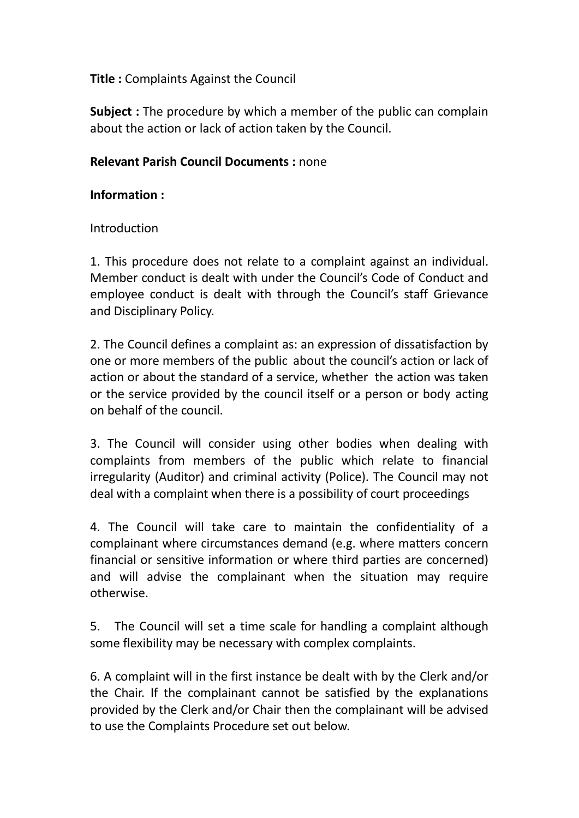## Title : Complaints Against the Council

**Subject**: The procedure by which a member of the public can complain about the action or lack of action taken by the Council.

## Relevant Parish Council Documents : none

#### Information :

#### Introduction

1. This procedure does not relate to a complaint against an individual. Member conduct is dealt with under the Council's Code of Conduct and employee conduct is dealt with through the Council's staff Grievance and Disciplinary Policy.

2. The Council defines a complaint as: an expression of dissatisfaction by one or more members of the public about the council's action or lack of action or about the standard of a service, whether the action was taken or the service provided by the council itself or a person or body acting on behalf of the council.

3. The Council will consider using other bodies when dealing with complaints from members of the public which relate to financial irregularity (Auditor) and criminal activity (Police). The Council may not deal with a complaint when there is a possibility of court proceedings

4. The Council will take care to maintain the confidentiality of a complainant where circumstances demand (e.g. where matters concern financial or sensitive information or where third parties are concerned) and will advise the complainant when the situation may require otherwise.

5. The Council will set a time scale for handling a complaint although some flexibility may be necessary with complex complaints.

6. A complaint will in the first instance be dealt with by the Clerk and/or the Chair. If the complainant cannot be satisfied by the explanations provided by the Clerk and/or Chair then the complainant will be advised to use the Complaints Procedure set out below.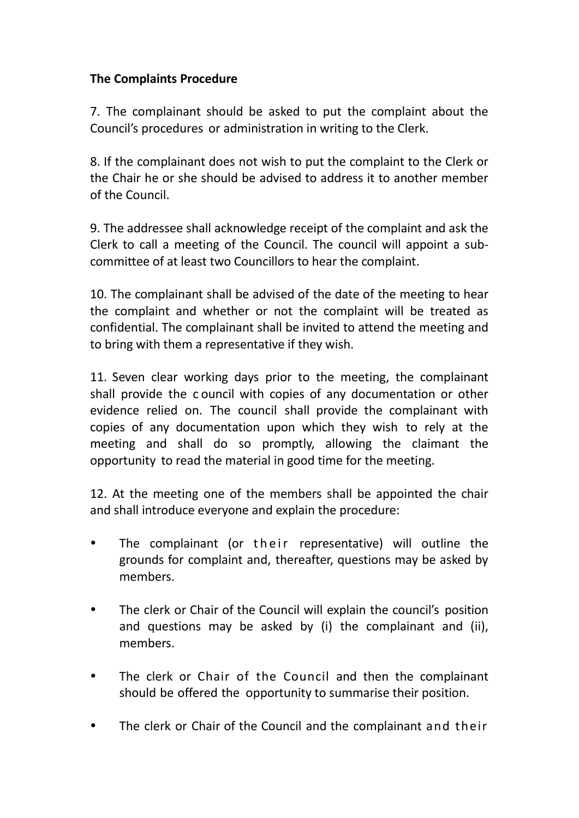# The Complaints Procedure

7. The complainant should be asked to put the complaint about the Council's procedures or administration in writing to the Clerk.

8. If the complainant does not wish to put the complaint to the Clerk or the Chair he or she should be advised to address it to another member of the Council.

9. The addressee shall acknowledge receipt of the complaint and ask the Clerk to call a meeting of the Council. The council will appoint a subcommittee of at least two Councillors to hear the complaint.

10. The complainant shall be advised of the date of the meeting to hear the complaint and whether or not the complaint will be treated as confidential. The complainant shall be invited to attend the meeting and to bring with them a representative if they wish.

11. Seven clear working days prior to the meeting, the complainant shall provide the c ouncil with copies of any documentation or other evidence relied on. The council shall provide the complainant with copies of any documentation upon which they wish to rely at the meeting and shall do so promptly, allowing the claimant the opportunity to read the material in good time for the meeting.

12. At the meeting one of the members shall be appointed the chair and shall introduce everyone and explain the procedure:

- The complainant (or their representative) will outline the grounds for complaint and, thereafter, questions may be asked by members.
- The clerk or Chair of the Council will explain the council's position and questions may be asked by (i) the complainant and (ii), members.
- The clerk or Chair of the Council and then the complainant should be offered the opportunity to summarise their position.
- The clerk or Chair of the Council and the complainant and their